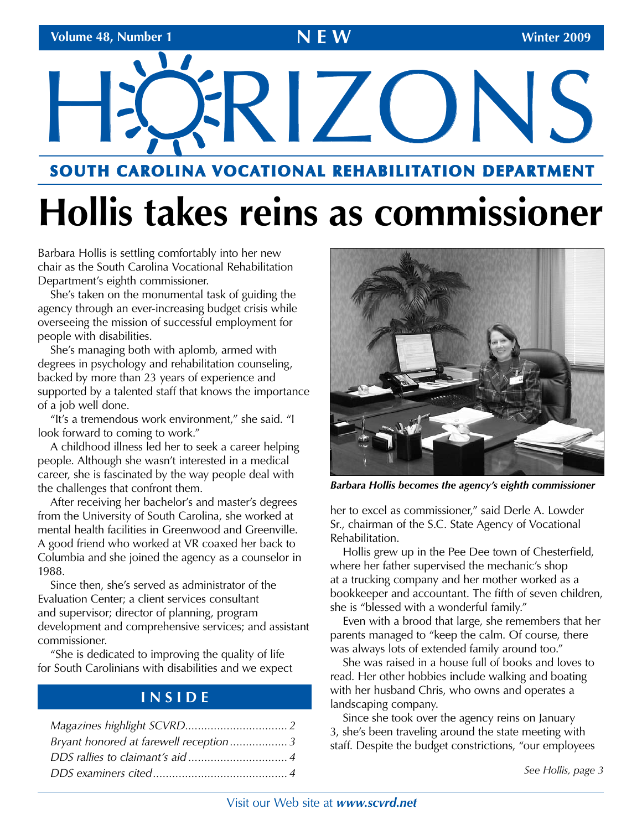# HRIZONS

## **SOUTH CAROLINA VOCATIONAL REHABILITATION DEPARTMENT**

# **Hollis takes reins as commissioner**

Barbara Hollis is settling comfortably into her new chair as the South Carolina Vocational Rehabilitation Department's eighth commissioner.

She's taken on the monumental task of guiding the agency through an ever-increasing budget crisis while overseeing the mission of successful employment for people with disabilities.

She's managing both with aplomb, armed with degrees in psychology and rehabilitation counseling, backed by more than 23 years of experience and supported by a talented staff that knows the importance of a job well done.

"It's a tremendous work environment," she said. "I look forward to coming to work."

A childhood illness led her to seek a career helping people. Although she wasn't interested in a medical career, she is fascinated by the way people deal with the challenges that confront them.

After receiving her bachelor's and master's degrees from the University of South Carolina, she worked at mental health facilities in Greenwood and Greenville. A good friend who worked at VR coaxed her back to Columbia and she joined the agency as a counselor in 1988.

Since then, she's served as administrator of the Evaluation Center; a client services consultant and supervisor; director of planning, program development and comprehensive services; and assistant commissioner.

"She is dedicated to improving the quality of life for South Carolinians with disabilities and we expect

## **I N S I D E**

| Bryant honored at farewell reception3 |  |
|---------------------------------------|--|
|                                       |  |
|                                       |  |



*Barbara Hollis becomes the agency's eighth commissioner* 

her to excel as commissioner," said Derle A. Lowder Sr., chairman of the S.C. State Agency of Vocational Rehabilitation.

Hollis grew up in the Pee Dee town of Chesterfield, where her father supervised the mechanic's shop at a trucking company and her mother worked as a bookkeeper and accountant. The fifth of seven children, she is "blessed with a wonderful family."

Even with a brood that large, she remembers that her parents managed to "keep the calm. Of course, there was always lots of extended family around too."

She was raised in a house full of books and loves to read. Her other hobbies include walking and boating with her husband Chris, who owns and operates a landscaping company.

Since she took over the agency reins on January 3, she's been traveling around the state meeting with staff. Despite the budget constrictions, "our employees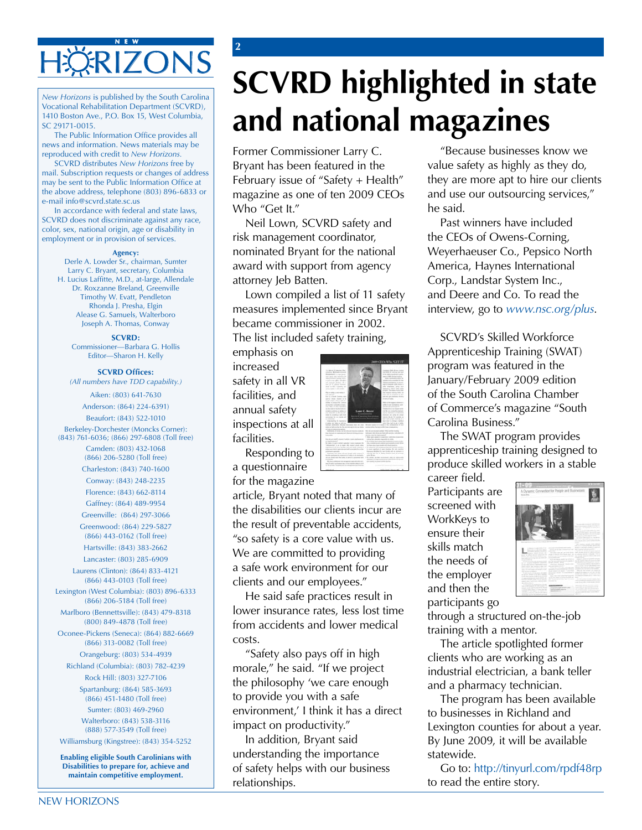### **N E W**  ERIZONS

Vocational Rehabilitation Department (SCVRD), 1410 Boston Ave., P.O. Box 15, West Columbia, SC 29171-0015.<br>The Public Information Office provides all

news and information. News materials may be reproduced with credit to *New Horizons.* 

SCVRD distributes *New Horizons* free by mail. Subscription requests or changes of address may be sent to the Public Information Office at the above address, telephone (803) 896-6833 or e-mail info@scvrd.state.sc.us

In accordance with federal and state laws, SCVRD does not discriminate against any race, color, sex, national origin, age or disability in employment or in provision of services.

#### **Agency:**

Derle A. Lowder Sr., chairman, Sumter Larry C. Bryant, secretary, Columbia H. Lucius Laffitte, M.D., at-large, Allendale Dr. Roxzanne Breland, Greenville Timothy W. Evatt, Pendleton Rhonda J. Presha, Elgin Alease G. Samuels, Walterboro Joseph A. Thomas, Conway

**SCVRD:**  Commissioner—Barbara G. Hollis Editor—Sharon H. Kelly

#### **SCVRD Offices:**

*(All numbers have TDD capability.)* 

Aiken: (803) 641-7630 Anderson: (864) 224-6391) Beaufort: (843) 522-1010 Berkeley-Dorchester (Moncks Corner): (843) 761-6036; (866) 297-6808 (Toll free) Camden: (803) 432-1068 (866) 206-5280 (Toll free) Charleston: (843) 740-1600 Conway: (843) 248-2235 Florence: (843) 662-8114 Gaffney: (864) 489-9954 Greenville: (864) 297-3066 Greenwood: (864) 229-5827 (866) 443-0162 (Toll free) Hartsville: (843) 383-2662 Lancaster: (803) 285-6909 Laurens (Clinton): (864) 833-4121 (866) 443-0103 (Toll free) Lexington (West Columbia): (803) 896-6333 (866) 206-5184 (Toll free) Marlboro (Bennettsville): (843) 479-8318 (800) 849-4878 (Toll free) Oconee-Pickens (Seneca): (864) 882-6669 (866) 313-0082 (Toll free) Orangeburg: (803) 534-4939 Richland (Columbia): (803) 782-4239 Rock Hill: (803) 327-7106 Spartanburg: (864) 585-3693 (866) 451-1480 (Toll free) Sumter: (803) 469-2960 Walterboro: (843) 538-3116 (888) 577-3549 (Toll free)

Williamsburg (Kingstree): (843) 354-5252 **Enabling eligible South Carolinians with** 

**Disabilities to prepare for, achieve and maintain competitive employment.** 

# **SCVRD highlighted in state** and national magazines

Former Commissioner Larry C. Bryant has been featured in the February issue of "Safety + Health" magazine as one of ten 2009 CEOs Who "Get It."

Neil Lown, SCVRD safety and risk management coordinator, nominated Bryant for the national award with support from agency attorney Jeb Batten.

Lown compiled a list of 11 safety measures implemented since Bryant became commissioner in 2002. The list included safety training,

emphasis on increased safety in all VR facilities, and annual safety inspections at all facilities.

**2** 

Responding to a questionnaire



for the magazine

article, Bryant noted that many of the disabilities our clients incur are the result of preventable accidents, "so safety is a core value with us. We are committed to providing a safe work environment for our clients and our employees."

He said safe practices result in lower insurance rates, less lost time from accidents and lower medical costs.

"Safety also pays off in high morale," he said. "If we project the philosophy 'we care enough to provide you with a safe environment,' I think it has a direct impact on productivity."

In addition, Bryant said understanding the importance of safety helps with our business relationships.

"Because businesses know we value safety as highly as they do, they are more apt to hire our clients and use our outsourcing services," he said.

Past winners have included the CEOs of Owens-Corning, Weyerhaeuser Co., Pepsico North America, Haynes International Corp., Landstar System Inc., and Deere and Co. To read the interview, go to *www.nsc.org/plus*.

SCVRD's Skilled Workforce Apprenticeship Training (SWAT) program was featured in the January/February 2009 edition of the South Carolina Chamber of Commerce's magazine "South Carolina Business."

The SWAT program provides apprenticeship training designed to produce skilled workers in a stable

career field. Participants are screened with WorkKeys to ensure their skills match the needs of the employer and then the participants go



through a structured on-the-job training with a mentor.

The article spotlighted former clients who are working as an industrial electrician, a bank teller and a pharmacy technician.

The program has been available to businesses in Richland and Lexington counties for about a year. By June 2009, it will be available statewide.

Go to: http://tinyurl.com/rpdf48rp to read the entire story.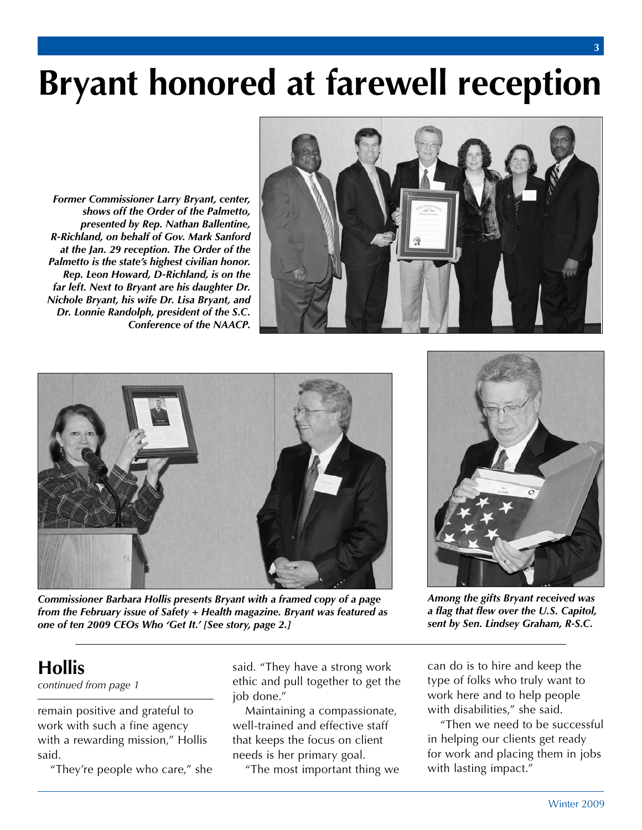# **Bryant honored at farewell reception**

*Former Commissioner Larry Bryant, center, shows off the Order of the Palmetto, presented by Rep. Nathan Ballentine, R-Richland, on behalf of Gov. Mark Sanford at the Jan. 29 reception. The Order of the Palmetto is the state's highest civilian honor. Rep. Leon Howard, D-Richland, is on the far left. Next to Bryant are his daughter Dr. Nichole Bryant, his wife Dr. Lisa Bryant, and Dr. Lonnie Randolph, president of the S.C. Conference of the NAACP.* 





*Commissioner Barbara Hollis presents Bryant with a framed copy of a page from the February issue of Safety + Health magazine. Bryant was featured as one of ten 2009 CEOs Who 'Get It.' [See story, page 2.]* 



*Among the gifts Bryant received was a flag that flew over the U.S. Capitol, sent by Sen. Lindsey Graham, R-S.C.* 

## **Hollis**

*continued from page 1* 

 work with such a fine agency with a rewarding mission," Hollis remain positive and grateful to said.

"They're people who care," she

 said. "They have a strong work ethic and pull together to get the job done."

 Maintaining a compassionate, that keeps the focus on client needs is her primary goal. well-trained and effective staff

"The most important thing we

 can do is to hire and keep the type of folks who truly want to work here and to help people with disabilities," she said.

 "Then we need to be successful for work and placing them in jobs in helping our clients get ready with lasting impact."